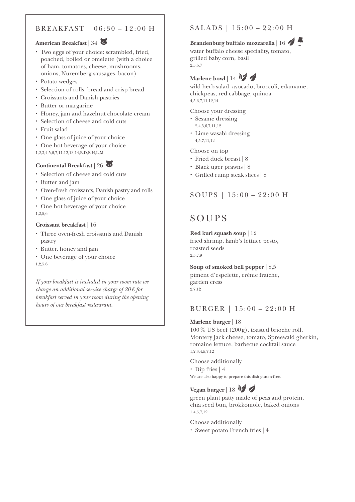### BREAKFAST | 06:30 – 12:00 H

#### **American Breakfast | 34**

- Two eggs of your choice: scrambled, fried, poached, boiled or omelette (with a choice of ham, tomatoes, cheese, mushrooms, onions, Nuremberg sausages, bacon)
- Potato wedges
- x Selection of rolls, bread and crisp bread
- x Croissants and Danish pastries
- **·** Butter or margarine
- x Honey, jam and hazelnut chocolate cream
- x Selection of cheese and cold cuts
- x Fruit salad
- One glass of juice of your choice
- One hot beverage of your choice
- 1,2,3,4,5,6,7,11,12,13,14,B,D,E,H,L,M

#### **Continental Breakfast | 26 0**

- x Selection of cheese and cold cuts
- Butter and jam
- x Oven-fresh croissants, Danish pastry and rolls
- One glass of juice of your choice
- One hot beverage of your choice 1,2,5,6

#### **Croissant breakfast |** 16

- x Three oven-fresh croissants and Danish pastry
- x Butter, honey and jam
- One beverage of your choice 1,2,5,6

*If your breakfast is included in your room rate we charge an additional service charge of 20€ for breakfast served in your room during the opening hours of our breakfast restaurant.*

## SALADS | 15:00 – 22:00 H

## **Brandenburg buffalo mozzarella | 16**

water buffalo cheese speciality, tomato, grilled baby corn, basil 2,5,6,7

## Marlene bowl | 14 M

wild herb salad, avocado, broccoli, edamame, chickpeas, red cabbage, quinoa 4,5,6,7,11,12,14

Choose your dressing

- Sesame dressing 2,4,5,6,7,11,12
- Lime wasabi dressing 4,5,7,11,12

Choose on top

- Fried duck breast | 8
- x Black tiger prawns | 8
- x Grilled rump steak slices | 8

### SOUPS | 15:00 – 22:00 H

## SOUPS

**Red kuri squash soup |** 12 fried shrimp, lamb's lettuce pesto, roasted seeds 2,5,7,9

**Soup of smoked bell pepper |** 8,5 piment d'espelette, crème fraîche, garden cress 2,7,12

#### BURGER | 15:00 – 22:00 H

#### **Marlene burger |** 18

 $100\%$  US beef (200g), toasted brioche roll, Montery Jack cheese, tomato, Spreewald gherkin, romaine lettuce, barbecue cocktail sauce 1,2,3,4,5,7,12

#### Choose additionally

• Dip fries | 4 We are also happy to prepare this dish gluten-free.

## Vegan burger | 18  $\frac{1}{2}$

green plant patty made of peas and protein, chia seed bun, brokkomole, baked onions 1,4,5,7,12

Choose additionally

• Sweet potato French fries | 4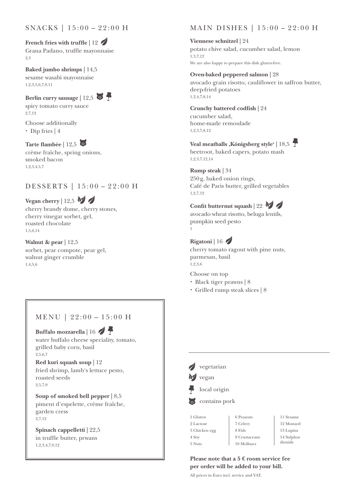## **French fries with truffle | 12**

Grana Padano, truffle mayonnaise 2,3

**Baked jumbo shrimps |** 14,5 sesame wasabi mayonnaise 1,2,3,5,6,7,9,11

**Berlin curry sausage | 12,5**  $\bullet$ spicy tomato curry sauce 2,7,12

Choose additionally  $\cdot$  Dip fries | 4

#### Tarte flambée | 12,5 0

crème fraîche, spring onions, smoked bacon 1,2,3,4,5,7

## DESSERTS | 15:00 – 22:00 H

**Vegan cherry | 12,5**  $\sqrt{ }$ cherry brandy dome, cherry stones, cherry vinegar sorbet, gel, roasted chocolate 1,5,6,14

**Walnut & pear |** 12,5 sorbet, pear compote, pear gel, walnut ginger crumble 1,4,5,6

### MENU | 22:00 – 15:00 H

Buffalo mozzarella | 16 water buffalo cheese speciality, tomato, grilled baby corn, basil 2,5,6,7

**Red kuri squash soup |** 12 fried shrimp, lamb's lettuce pesto, roasted seeds 2,5,7,9

**Soup of smoked bell pepper |** 8,5 piment d'espelette, crème fraîche, garden cress 2,7,12

**Spinach cappelletti |** 22,5 in truffle butter, prwans 1,2,3,4,7,9,12

## MAIN DISHES | 15:00 – 22:00 H

**Viennese schnitzel |** 24 potato chive salad, cucumber salad, lemon 1,3,7,12 We are also happy to prepare this dish gluten-free.

#### **Oven-baked peppered salmon |** 28

avocado grain risotto, cauliflower in saffron butter, deep-fried potatoes 1,2,4,7,8,14

#### **Crunchy battered codfish |** 24 cucumber salad,

home-made remoulade 1,2,3,7,8,12

## Veal meatballs , Königsberg style<sup>4</sup> | 18,5

beetroot, baked capers, potato mash 1,2,3,7,12,14

#### **Rump steak |** 34

250g, baked onion rings, Café de Paris butter, grilled vegetables 1,2,7,12

### **Confit butternut squash | 22**  $\frac{1}{2}$

avocado wheat risotto, beluga lentils, pumpkin seed pesto

## **Rigatoni |** 16

1

cherry tomato ragout with pine nuts, parmesan, basil 1,2,3,6

Choose on top

- x Black tiger prawns | 8
- x Grilled rump steak slices | 8



14 Sulphur dioxide

#### **Please note that a 5 € room service fee per order will be added to your bill.**

10 Molluscs

All prices in Euro incl. service and VAT.

5 Nuts